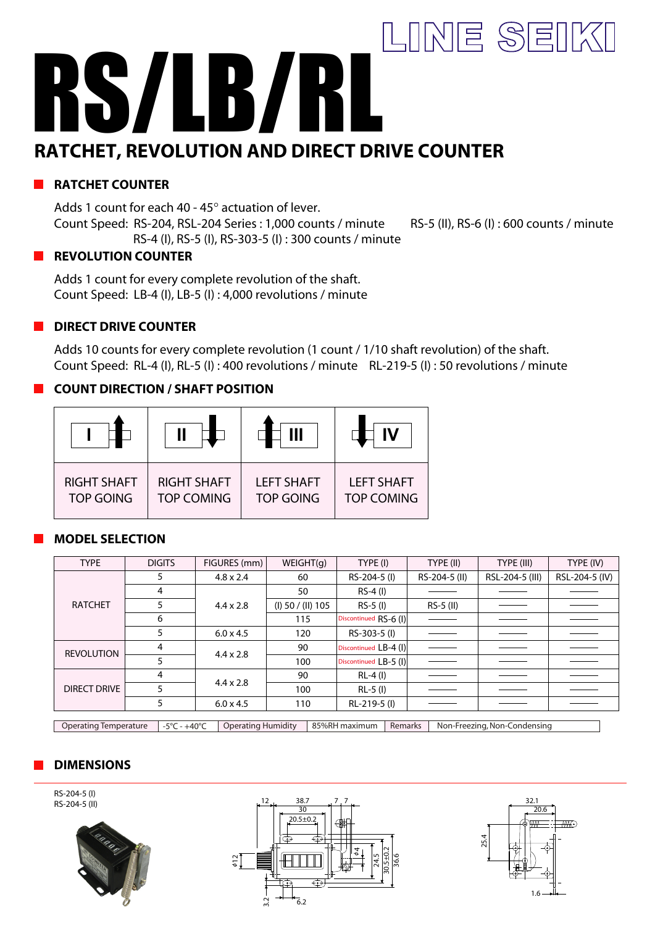# LINE SEIKI RS/LB/RL **RATCHET, REVOLUTION AND DIRECT DRIVE COUNTER**

# **RATCHET COUNTER**

Adds 1 count for each 40 - 45° actuation of lever. Count Speed: RS-204, RSL-204 Series : 1,000 counts / minute RS-5 (II), RS-6 (I) : 600 counts / minute RS-4 (I), RS-5 (I), RS-303-5 (I) : 300 counts / minute

#### **REVOLUTION COUNTER**

Adds 1 count for every complete revolution of the shaft. Count Speed: LB-4 (I), LB-5 (I) : 4,000 revolutions / minute

## **DIRECT DRIVE COUNTER**

Adds 10 counts for every complete revolution (1 count / 1/10 shaft revolution) of the shaft. Count Speed: RL-4 (I), RL-5 (I) : 400 revolutions / minute RL-219-5 (I) : 50 revolutions / minute

#### **COUNT DIRECTION / SHAFT POSITION**

| <b>RIGHT SHAFT</b> | <b>RIGHT SHAFT</b> | <b>LEFT SHAFT</b> | <b>LEFT SHAFT</b> |
|--------------------|--------------------|-------------------|-------------------|
| <b>TOP GOING</b>   | <b>TOP COMING</b>  | <b>TOP GOING</b>  | <b>TOP COMING</b> |

## **MODEL SELECTION**

| <b>TYPE</b>         | <b>DIGITS</b> | FIGURES (mm)     | WEIGHT(q)           | TYPE (I)              | TYPE (II)     | TYPE (III)      | TYPE (IV)      |
|---------------------|---------------|------------------|---------------------|-----------------------|---------------|-----------------|----------------|
| <b>RATCHET</b>      | ל             | $4.8 \times 2.4$ | 60                  | RS-204-5 (I)          | RS-204-5 (II) | RSL-204-5 (III) | RSL-204-5 (IV) |
|                     | 4             | $4.4 \times 2.8$ | 50                  | RS-4 (I)              |               |                 |                |
|                     |               |                  | $(I)$ 50 / (II) 105 | $RS-5$ (I)            | RS-5 (II)     |                 |                |
|                     | 6             |                  | 115                 | Discontinued RS-6 (I) |               |                 |                |
|                     | 5             | $6.0 \times 4.5$ | 120                 | RS-303-5 (I)          |               |                 |                |
| <b>REVOLUTION</b>   | 4             | $4.4 \times 2.8$ | 90                  | Discontinued LB-4 (I) |               |                 |                |
|                     |               |                  | 100                 | Discontinued LB-5 (I) |               |                 |                |
| <b>DIRECT DRIVE</b> | 4             | $4.4 \times 2.8$ | 90                  | RL-4 (I)              |               |                 |                |
|                     |               |                  | 100                 | RL-5 (I)              |               |                 |                |
|                     | 5             | $6.0 \times 4.5$ | 110                 | RL-219-5 (I)          |               |                 |                |
|                     |               |                  |                     |                       |               |                 |                |

Operating Temperature -5°C - +40°C Operating Humidity 85%RH maximum Remarks Non-Freezing, Non-Condensing

## **DIMENSIONS**

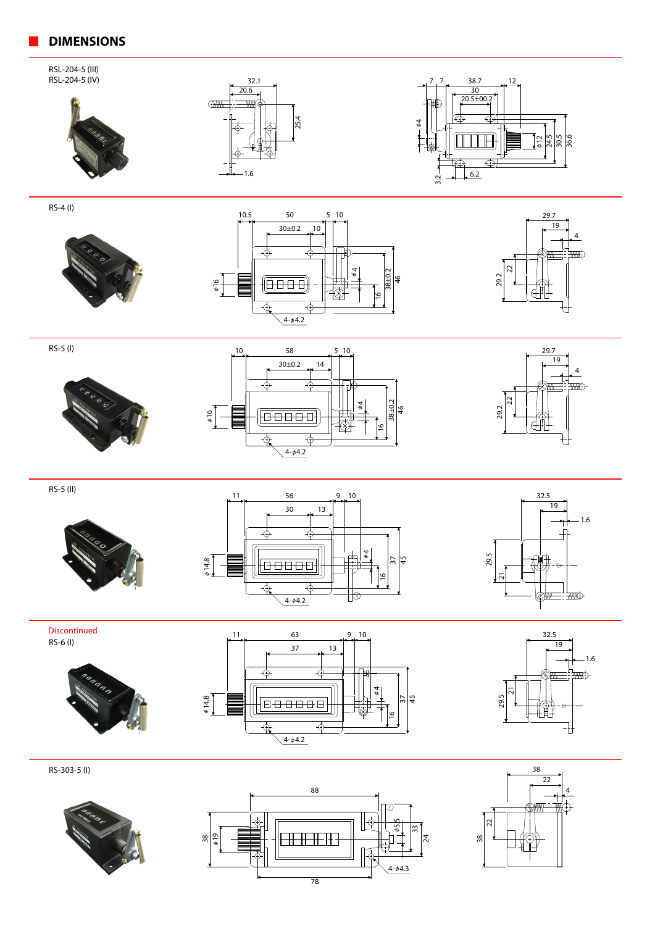